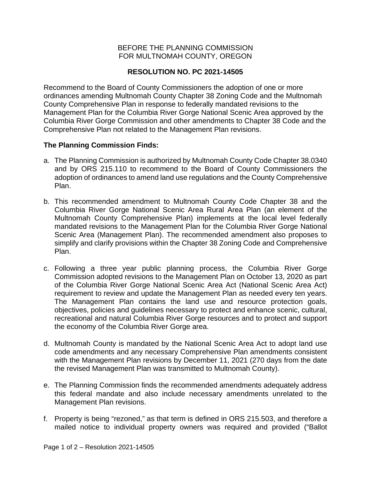## BEFORE THE PLANNING COMMISSION FOR MULTNOMAH COUNTY, OREGON

# **RESOLUTION NO. PC 2021-14505**

Recommend to the Board of County Commissioners the adoption of one or more ordinances amending Multnomah County Chapter 38 Zoning Code and the Multnomah County Comprehensive Plan in response to federally mandated revisions to the Management Plan for the Columbia River Gorge National Scenic Area approved by the Columbia River Gorge Commission and other amendments to Chapter 38 Code and the Comprehensive Plan not related to the Management Plan revisions.

### **The Planning Commission Finds:**

- a. The Planning Commission is authorized by Multnomah County Code Chapter 38.0340 and by ORS 215.110 to recommend to the Board of County Commissioners the adoption of ordinances to amend land use regulations and the County Comprehensive Plan.
- b. This recommended amendment to Multnomah County Code Chapter 38 and the Columbia River Gorge National Scenic Area Rural Area Plan (an element of the Multnomah County Comprehensive Plan) implements at the local level federally mandated revisions to the Management Plan for the Columbia River Gorge National Scenic Area (Management Plan). The recommended amendment also proposes to simplify and clarify provisions within the Chapter 38 Zoning Code and Comprehensive Plan.
- c. Following a three year public planning process, the Columbia River Gorge Commission adopted revisions to the Management Plan on October 13, 2020 as part of the Columbia River Gorge National Scenic Area Act (National Scenic Area Act) requirement to review and update the Management Plan as needed every ten years. The Management Plan contains the land use and resource protection goals, objectives, policies and guidelines necessary to protect and enhance scenic, cultural, recreational and natural Columbia River Gorge resources and to protect and support the economy of the Columbia River Gorge area.
- d. Multnomah County is mandated by the National Scenic Area Act to adopt land use code amendments and any necessary Comprehensive Plan amendments consistent with the Management Plan revisions by December 11, 2021 (270 days from the date the revised Management Plan was transmitted to Multnomah County).
- e. The Planning Commission finds the recommended amendments adequately address this federal mandate and also include necessary amendments unrelated to the Management Plan revisions.
- f. Property is being "rezoned," as that term is defined in ORS 215.503, and therefore a mailed notice to individual property owners was required and provided ("Ballot